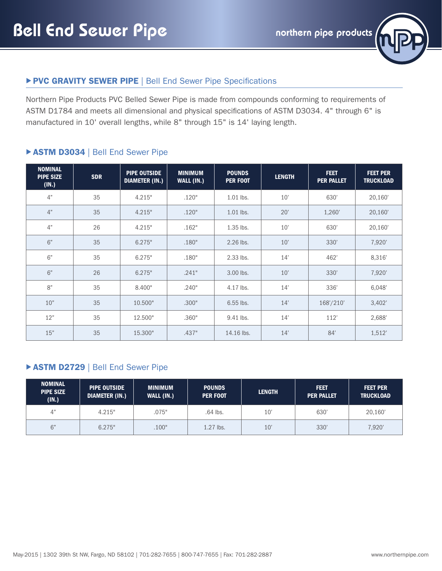

## PVC GRAVITY SEWER PIPE | Bell End Sewer Pipe Specifications

Northern Pipe Products PVC Belled Sewer Pipe is made from compounds conforming to requirements of ASTM D1784 and meets all dimensional and physical specifications of ASTM D3034. 4" through 6" is manufactured in 10' overall lengths, while 8" through 15" is 14' laying length.

#### ▶ ASTM D3034 | Bell End Sewer Pipe

| <b>NOMINAL</b><br><b>PIPE SIZE</b><br>(IN.) | <b>SDR</b> | <b>PIPE OUTSIDE</b><br><b>DIAMETER (IN.)</b> | <b>MINIMUM</b><br>WALL (IN.) | <b>POUNDS</b><br><b>PER FOOT</b> | <b>LENGTH</b> | <b>FEET</b><br><b>PER PALLET</b> | <b>FEET PER</b><br><b>TRUCKLOAD</b> |
|---------------------------------------------|------------|----------------------------------------------|------------------------------|----------------------------------|---------------|----------------------------------|-------------------------------------|
| 4"                                          | 35         | 4.215"                                       | .120"                        | 1.01 lbs.                        | 10'           | 630'                             | 20,160'                             |
| 4"                                          | 35         | 4.215"                                       | .120"                        | 1.01 lbs.                        | 20'           | 1,260'                           | 20,160'                             |
| 4"                                          | 26         | 4.215"                                       | .162"                        | 1.35 lbs.                        | 10'           | 630'                             | 20,160'                             |
| 6"                                          | 35         | 6.275"                                       | .180"                        | 2.26 lbs.                        | 10'           | 330'                             | 7,920'                              |
| 6"                                          | 35         | 6.275"                                       | .180"                        | 2.33 lbs.                        | 14'           | 462'                             | 8,316'                              |
| 6"                                          | 26         | 6.275"                                       | .241"                        | 3.00 lbs.                        | 10'           | 330'                             | 7,920'                              |
| 8"                                          | 35         | 8.400"                                       | .240"                        | 4.17 lbs.                        | 14'           | 336'                             | 6,048'                              |
| 10"                                         | 35         | 10.500"                                      | .300"                        | $6.55$ lbs.                      | 14'           | 168'/210'                        | 3,402'                              |
| 12"                                         | 35         | 12.500"                                      | .360"                        | 9.41 lbs.                        | 14'           | 112'                             | 2,688'                              |
| 15"                                         | 35         | 15.300"                                      | .437"                        | 14.16 lbs.                       | 14'           | 84'                              | 1,512'                              |

### **ASTM D2729 | Bell End Sewer Pipe**

| <b>NOMINAL</b><br><b>PIPE SIZE</b><br>(IN.) | <b>PIPE OUTSIDE</b><br><b>DIAMETER (IN.)</b> | <b>MINIMUM</b><br>WALL (IN.) | <b>POUNDS</b><br><b>PER FOOT</b> | <b>LENGTH</b> | FEET<br><b>PER PALLET</b> | <b>FEET PER</b><br><b>TRUCKLOAD</b> |
|---------------------------------------------|----------------------------------------------|------------------------------|----------------------------------|---------------|---------------------------|-------------------------------------|
| 4"                                          | 4.215"                                       | .075"                        | .64 lbs.                         | 10'           | 630                       | 20,160                              |
| 6"                                          | 6.275"                                       | .100"                        | 1.27 lbs.                        | 10'           | 330'                      | 7,920'                              |